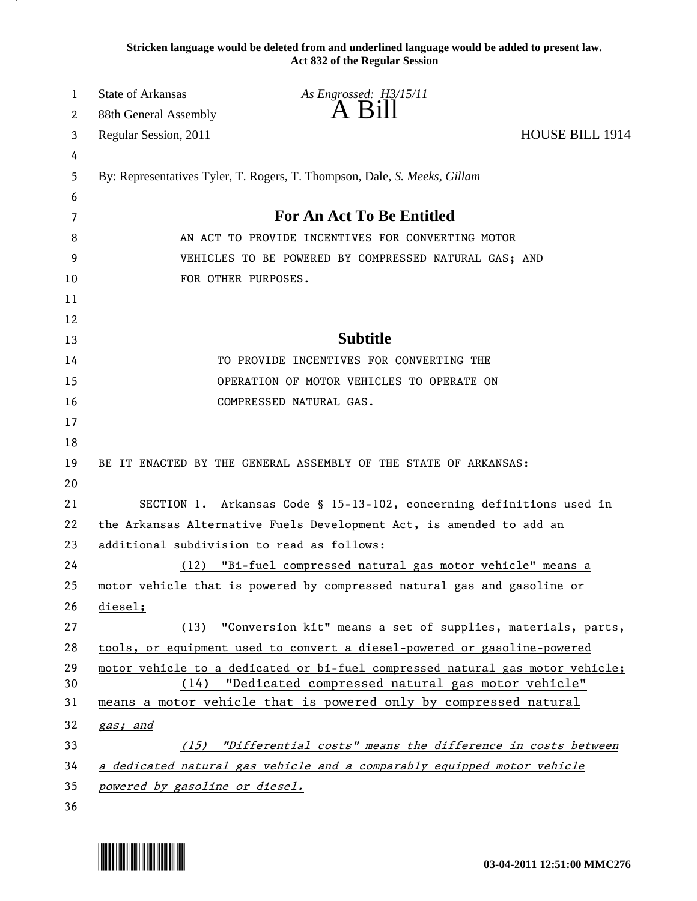**Stricken language would be deleted from and underlined language would be added to present law. Act 832 of the Regular Session**

| $A$ B <sub>1</sub> $\parallel$<br>88th General Assembly<br>2<br><b>HOUSE BILL 1914</b><br>Regular Session, 2011<br>3<br>4<br>By: Representatives Tyler, T. Rogers, T. Thompson, Dale, S. Meeks, Gillam<br>5<br>6<br><b>For An Act To Be Entitled</b><br>7<br>AN ACT TO PROVIDE INCENTIVES FOR CONVERTING MOTOR<br>8<br>9<br>VEHICLES TO BE POWERED BY COMPRESSED NATURAL GAS; AND<br>FOR OTHER PURPOSES.<br>10<br>11<br>12<br><b>Subtitle</b><br>13<br>TO PROVIDE INCENTIVES FOR CONVERTING THE<br>14 |  |
|-------------------------------------------------------------------------------------------------------------------------------------------------------------------------------------------------------------------------------------------------------------------------------------------------------------------------------------------------------------------------------------------------------------------------------------------------------------------------------------------------------|--|
|                                                                                                                                                                                                                                                                                                                                                                                                                                                                                                       |  |
|                                                                                                                                                                                                                                                                                                                                                                                                                                                                                                       |  |
|                                                                                                                                                                                                                                                                                                                                                                                                                                                                                                       |  |
|                                                                                                                                                                                                                                                                                                                                                                                                                                                                                                       |  |
|                                                                                                                                                                                                                                                                                                                                                                                                                                                                                                       |  |
|                                                                                                                                                                                                                                                                                                                                                                                                                                                                                                       |  |
|                                                                                                                                                                                                                                                                                                                                                                                                                                                                                                       |  |
|                                                                                                                                                                                                                                                                                                                                                                                                                                                                                                       |  |
|                                                                                                                                                                                                                                                                                                                                                                                                                                                                                                       |  |
|                                                                                                                                                                                                                                                                                                                                                                                                                                                                                                       |  |
|                                                                                                                                                                                                                                                                                                                                                                                                                                                                                                       |  |
|                                                                                                                                                                                                                                                                                                                                                                                                                                                                                                       |  |
| OPERATION OF MOTOR VEHICLES TO OPERATE ON<br>15                                                                                                                                                                                                                                                                                                                                                                                                                                                       |  |
| COMPRESSED NATURAL GAS.<br>16                                                                                                                                                                                                                                                                                                                                                                                                                                                                         |  |
| 17                                                                                                                                                                                                                                                                                                                                                                                                                                                                                                    |  |
| 18                                                                                                                                                                                                                                                                                                                                                                                                                                                                                                    |  |
| BE IT ENACTED BY THE GENERAL ASSEMBLY OF THE STATE OF ARKANSAS:<br>19                                                                                                                                                                                                                                                                                                                                                                                                                                 |  |
| 20                                                                                                                                                                                                                                                                                                                                                                                                                                                                                                    |  |
| SECTION 1. Arkansas Code § 15-13-102, concerning definitions used in<br>21                                                                                                                                                                                                                                                                                                                                                                                                                            |  |
| 22<br>the Arkansas Alternative Fuels Development Act, is amended to add an                                                                                                                                                                                                                                                                                                                                                                                                                            |  |
| 23<br>additional subdivision to read as follows:                                                                                                                                                                                                                                                                                                                                                                                                                                                      |  |
| 24<br>(12) "Bi-fuel compressed natural gas motor vehicle" means a                                                                                                                                                                                                                                                                                                                                                                                                                                     |  |
| motor vehicle that is powered by compressed natural gas and gasoline or<br>25                                                                                                                                                                                                                                                                                                                                                                                                                         |  |
| 26<br>diesel;                                                                                                                                                                                                                                                                                                                                                                                                                                                                                         |  |
| (13) "Conversion kit" means a set of supplies, materials, parts,<br>27                                                                                                                                                                                                                                                                                                                                                                                                                                |  |
| tools, or equipment used to convert a diesel-powered or gasoline-powered<br>28                                                                                                                                                                                                                                                                                                                                                                                                                        |  |
| 29<br>motor vehicle to a dedicated or bi-fuel compressed natural gas motor vehicle;                                                                                                                                                                                                                                                                                                                                                                                                                   |  |
| "Dedicated compressed natural gas motor vehicle"<br>30<br>(14)<br>means a motor vehicle that is powered only by compressed natural                                                                                                                                                                                                                                                                                                                                                                    |  |
| 31                                                                                                                                                                                                                                                                                                                                                                                                                                                                                                    |  |
| 32<br>gas; and                                                                                                                                                                                                                                                                                                                                                                                                                                                                                        |  |
| 33<br>(15) "Differential costs" means the difference in costs between                                                                                                                                                                                                                                                                                                                                                                                                                                 |  |
| a dedicated natural gas vehicle and a comparably equipped motor vehicle<br>34<br>35                                                                                                                                                                                                                                                                                                                                                                                                                   |  |
| powered by gasoline or diesel.<br>36                                                                                                                                                                                                                                                                                                                                                                                                                                                                  |  |

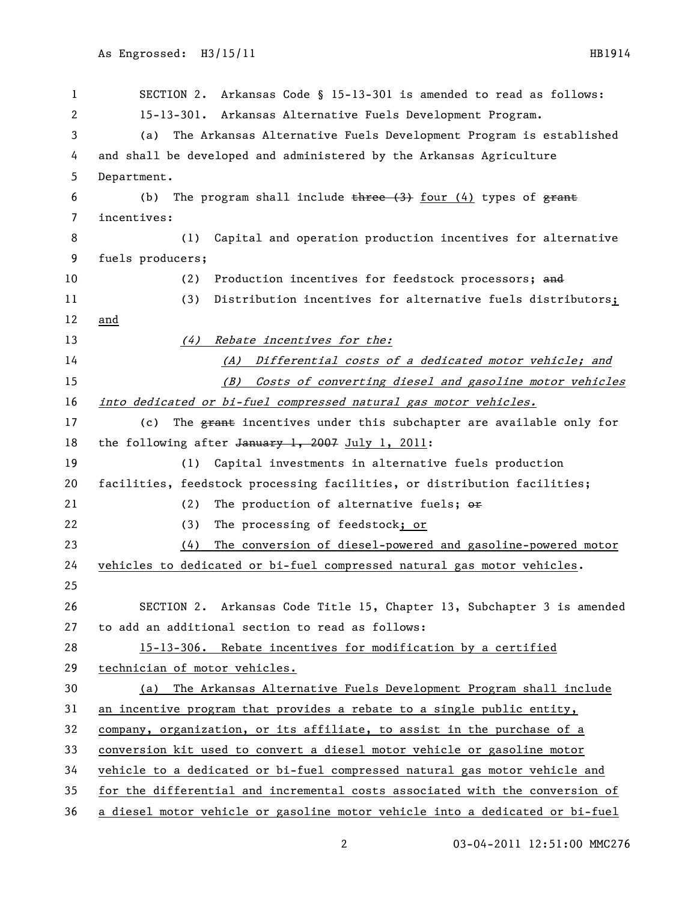SECTION 2. Arkansas Code § 15-13-301 is amended to read as follows: 15-13-301. Arkansas Alternative Fuels Development Program. (a) The Arkansas Alternative Fuels Development Program is established and shall be developed and administered by the Arkansas Agriculture Department. 6 (b) The program shall include  $t$  three  $(3)$  four  $(4)$  types of  $f$  grant incentives: (1) Capital and operation production incentives for alternative fuels producers; 10 (2) Production incentives for feedstock processors; and (3) Distribution incentives for alternative fuels distributors; and 13 (4) Rebate incentives for the: (A) Differential costs of a dedicated motor vehicle; and (B) Costs of converting diesel and gasoline motor vehicles into dedicated or bi-fuel compressed natural gas motor vehicles. 17 (c) The <del>grant</del> incentives under this subchapter are available only for 18 the following after January 1, 2007 July 1, 2011: (1) Capital investments in alternative fuels production facilities, feedstock processing facilities, or distribution facilities; 21 (2) The production of alternative fuels;  $\theta$ re (3) The processing of feedstock; or (4) The conversion of diesel-powered and gasoline-powered motor vehicles to dedicated or bi-fuel compressed natural gas motor vehicles. SECTION 2. Arkansas Code Title 15, Chapter 13, Subchapter 3 is amended to add an additional section to read as follows: 15-13-306. Rebate incentives for modification by a certified technician of motor vehicles. (a) The Arkansas Alternative Fuels Development Program shall include an incentive program that provides a rebate to a single public entity, company, organization, or its affiliate, to assist in the purchase of a conversion kit used to convert a diesel motor vehicle or gasoline motor vehicle to a dedicated or bi-fuel compressed natural gas motor vehicle and for the differential and incremental costs associated with the conversion of a diesel motor vehicle or gasoline motor vehicle into a dedicated or bi-fuel

03-04-2011 12:51:00 MMC276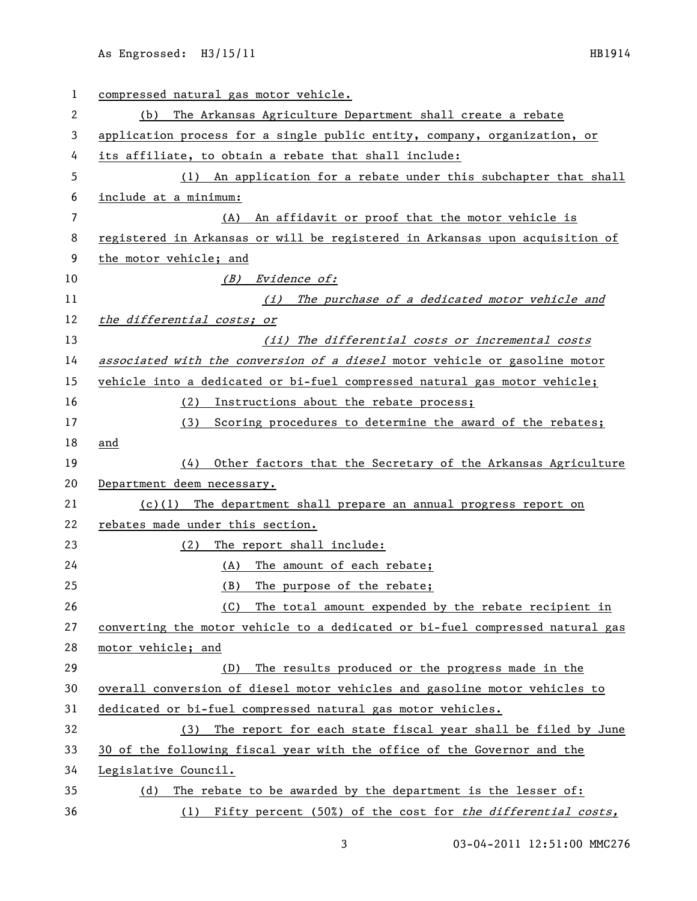| 1  | compressed natural gas motor vehicle.                                         |
|----|-------------------------------------------------------------------------------|
| 2  | The Arkansas Agriculture Department shall create a rebate<br>(b)              |
| 3  | application process for a single public entity, company, organization, or     |
| 4  | its affiliate, to obtain a rebate that shall include:                         |
| 5  | (1) An application for a rebate under this subchapter that shall              |
| 6  | include at a minimum:                                                         |
| 7  | An affidavit or proof that the motor vehicle is<br>(A)                        |
| 8  | registered in Arkansas or will be registered in Arkansas upon acquisition of  |
| 9  | the motor vehicle; and                                                        |
| 10 | (B) Evidence of:                                                              |
| 11 | The purchase of a dedicated motor vehicle and<br>(i)                          |
| 12 | the differential costs; or                                                    |
| 13 | (ii) The differential costs or incremental costs                              |
| 14 | associated with the conversion of a diesel motor vehicle or gasoline motor    |
| 15 | vehicle into a dedicated or bi-fuel compressed natural gas motor vehicle;     |
| 16 | Instructions about the rebate process;<br>(2)                                 |
| 17 | Scoring procedures to determine the award of the rebates;<br>(3)              |
| 18 | and                                                                           |
| 19 | Other factors that the Secretary of the Arkansas Agriculture<br>(4)           |
| 20 | Department deem necessary.                                                    |
| 21 | $(c)(1)$ The department shall prepare an annual progress report on            |
| 22 | rebates made under this section.                                              |
| 23 | (2)<br>The report shall include:                                              |
| 24 | The amount of each rebate;<br>(A)                                             |
| 25 | (B)<br>The purpose of the rebate;                                             |
| 26 | The total amount expended by the rebate recipient in<br>(C)                   |
| 27 | converting the motor vehicle to a dedicated or bi-fuel compressed natural gas |
| 28 | motor vehicle; and                                                            |
| 29 | The results produced or the progress made in the<br>(D)                       |
| 30 | overall conversion of diesel motor vehicles and gasoline motor vehicles to    |
| 31 | dedicated or bi-fuel compressed natural gas motor vehicles.                   |
| 32 | The report for each state fiscal year shall be filed by June<br>(3)           |
| 33 | 30 of the following fiscal year with the office of the Governor and the       |
| 34 | Legislative Council.                                                          |
| 35 | The rebate to be awarded by the department is the lesser of:<br>(d)           |
| 36 | (1) Fifty percent (50%) of the cost for the differential costs,               |

03-04-2011 12:51:00 MMC276